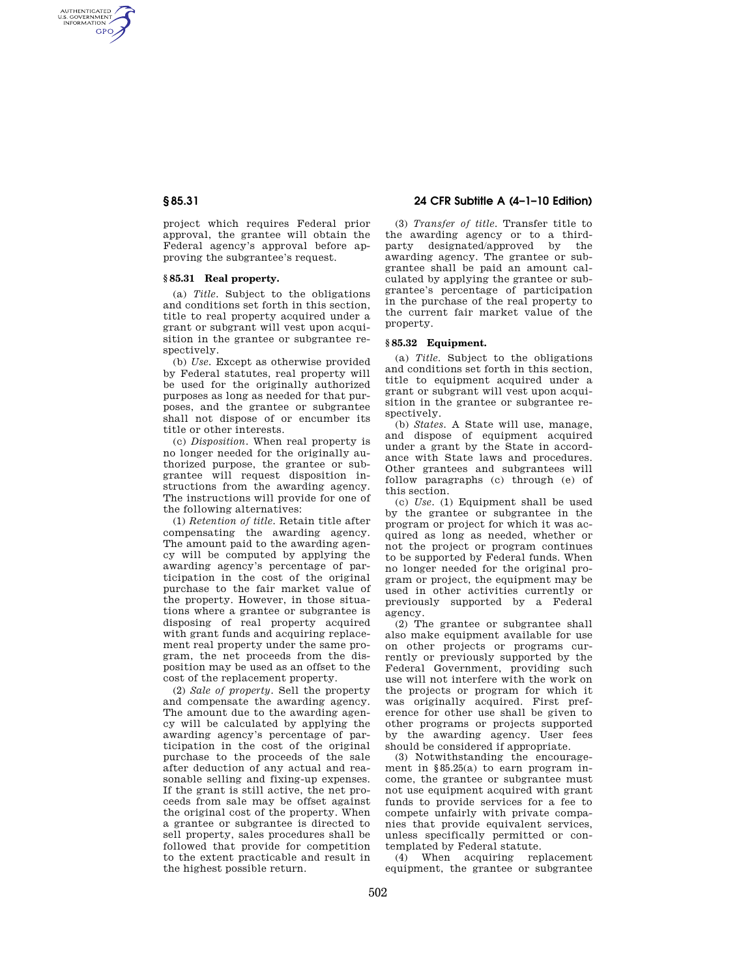AUTHENTICATED<br>U.S. GOVERNMENT<br>INFORMATION **GPO** 

> project which requires Federal prior approval, the grantee will obtain the Federal agency's approval before approving the subgrantee's request.

#### **§ 85.31 Real property.**

(a) *Title.* Subject to the obligations and conditions set forth in this section, title to real property acquired under a grant or subgrant will vest upon acquisition in the grantee or subgrantee respectively.

(b) *Use.* Except as otherwise provided by Federal statutes, real property will be used for the originally authorized purposes as long as needed for that purposes, and the grantee or subgrantee shall not dispose of or encumber its title or other interests.

(c) *Disposition.* When real property is no longer needed for the originally authorized purpose, the grantee or subgrantee will request disposition instructions from the awarding agency. The instructions will provide for one of the following alternatives:

(1) *Retention of title.* Retain title after compensating the awarding agency. The amount paid to the awarding agency will be computed by applying the awarding agency's percentage of participation in the cost of the original purchase to the fair market value of the property. However, in those situations where a grantee or subgrantee is disposing of real property acquired with grant funds and acquiring replacement real property under the same program, the net proceeds from the disposition may be used as an offset to the cost of the replacement property.

(2) *Sale of property.* Sell the property and compensate the awarding agency. The amount due to the awarding agency will be calculated by applying the awarding agency's percentage of participation in the cost of the original purchase to the proceeds of the sale after deduction of any actual and reasonable selling and fixing-up expenses. If the grant is still active, the net proceeds from sale may be offset against the original cost of the property. When a grantee or subgrantee is directed to sell property, sales procedures shall be followed that provide for competition to the extent practicable and result in the highest possible return.

# **§ 85.31 24 CFR Subtitle A (4–1–10 Edition)**

(3) *Transfer of title.* Transfer title to the awarding agency or to a thirdparty designated/approved by the awarding agency. The grantee or subgrantee shall be paid an amount calculated by applying the grantee or subgrantee's percentage of participation in the purchase of the real property to the current fair market value of the property.

### **§ 85.32 Equipment.**

(a) *Title.* Subject to the obligations and conditions set forth in this section, title to equipment acquired under a grant or subgrant will vest upon acquisition in the grantee or subgrantee respectively.

(b) *States.* A State will use, manage, and dispose of equipment acquired under a grant by the State in accordance with State laws and procedures. Other grantees and subgrantees will follow paragraphs (c) through (e) of this section.

(c) *Use.* (1) Equipment shall be used by the grantee or subgrantee in the program or project for which it was acquired as long as needed, whether or not the project or program continues to be supported by Federal funds. When no longer needed for the original program or project, the equipment may be used in other activities currently or previously supported by a Federal agency.

(2) The grantee or subgrantee shall also make equipment available for use on other projects or programs currently or previously supported by the Federal Government, providing such use will not interfere with the work on the projects or program for which it was originally acquired. First preference for other use shall be given to other programs or projects supported by the awarding agency. User fees should be considered if appropriate.

(3) Notwithstanding the encouragement in §85.25(a) to earn program income, the grantee or subgrantee must not use equipment acquired with grant funds to provide services for a fee to compete unfairly with private companies that provide equivalent services, unless specifically permitted or contemplated by Federal statute.

(4) When acquiring replacement equipment, the grantee or subgrantee